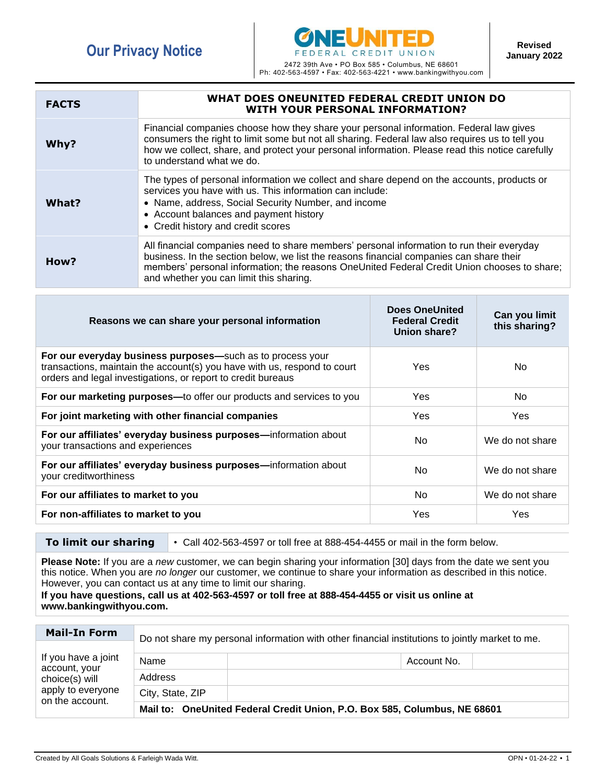

Ph: 402-563-4597 • Fax: 402-563-4221 • www.bankingwithyou.com

| <b>FACTS</b> | WHAT DOES ONEUNITED FEDERAL CREDIT UNION DO<br><b>WITH YOUR PERSONAL INFORMATION?</b>                                                                                                                                                                                                                                          |
|--------------|--------------------------------------------------------------------------------------------------------------------------------------------------------------------------------------------------------------------------------------------------------------------------------------------------------------------------------|
| Why?         | Financial companies choose how they share your personal information. Federal law gives<br>consumers the right to limit some but not all sharing. Federal law also requires us to tell you<br>how we collect, share, and protect your personal information. Please read this notice carefully<br>to understand what we do.      |
| What?        | The types of personal information we collect and share depend on the accounts, products or<br>services you have with us. This information can include:<br>• Name, address, Social Security Number, and income<br>• Account balances and payment history<br>• Credit history and credit scores                                  |
| How?         | All financial companies need to share members' personal information to run their everyday<br>business. In the section below, we list the reasons financial companies can share their<br>members' personal information; the reasons OneUnited Federal Credit Union chooses to share;<br>and whether you can limit this sharing. |

| Reasons we can share your personal information                                                                                                                                                         | <b>Does OneUnited</b><br><b>Federal Credit</b><br>Union share? | Can you limit<br>this sharing? |
|--------------------------------------------------------------------------------------------------------------------------------------------------------------------------------------------------------|----------------------------------------------------------------|--------------------------------|
| For our everyday business purposes-such as to process your<br>transactions, maintain the account(s) you have with us, respond to court<br>orders and legal investigations, or report to credit bureaus | Yes                                                            | No                             |
| For our marketing purposes-to offer our products and services to you                                                                                                                                   | Yes.                                                           | No                             |
| For joint marketing with other financial companies                                                                                                                                                     | Yes                                                            | Yes                            |
| For our affiliates' everyday business purposes-information about<br>your transactions and experiences                                                                                                  | No.                                                            | We do not share                |
| For our affiliates' everyday business purposes-information about<br>your creditworthiness                                                                                                              | No.                                                            | We do not share                |
| For our affiliates to market to you                                                                                                                                                                    | N <sub>o</sub>                                                 | We do not share                |
| For non-affiliates to market to you                                                                                                                                                                    | Yes                                                            | Yes                            |

**To limit our sharing** • Call 402-563-4597 or toll free at 888-454-4455 or mail in the form below.

**Please Note:** If you are a *new* customer, we can begin sharing your information [30] days from the date we sent you this notice. When you are *no longer* our customer, we continue to share your information as described in this notice. However, you can contact us at any time to limit our sharing.

## **If you have questions, call us at 402-563-4597 or toll free at 888-454-4455 or visit us online at www.bankingwithyou.com.**

| <b>Mail-In Form</b>                                                                            | Do not share my personal information with other financial institutions to jointly market to me. |             |  |
|------------------------------------------------------------------------------------------------|-------------------------------------------------------------------------------------------------|-------------|--|
| If you have a joint<br>account, your<br>choice(s) will<br>apply to everyone<br>on the account. |                                                                                                 |             |  |
|                                                                                                | Name                                                                                            | Account No. |  |
|                                                                                                | Address                                                                                         |             |  |
|                                                                                                | City, State, ZIP                                                                                |             |  |
|                                                                                                | Mail to: OneUnited Federal Credit Union, P.O. Box 585, Columbus, NE 68601                       |             |  |